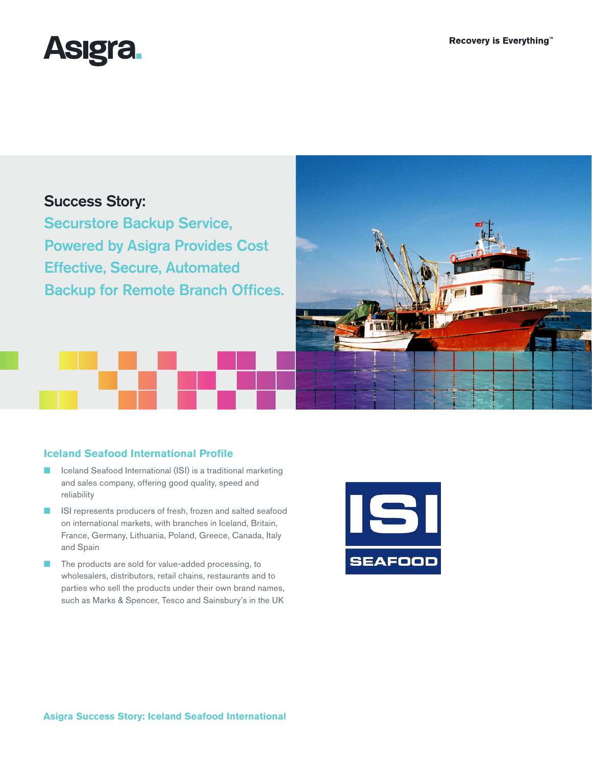

# Success Story:

Securstore Backup Service, Powered by Asigra Provides Cost Effective, Secure, Automated Backup for Remote Branch Offices.

## **Iceland Seafood International Profile**

- Iceland Seafood International (ISI) is a traditional marketing and sales company, offering good quality, speed and reliability
- ISI represents producers of fresh, frozen and salted seafood on international markets, with branches in Iceland, Britain, France, Germany, Lithuania, Poland, Greece, Canada, Italy and Spain
- The products are sold for value-added processing, to wholesalers, distributors, retail chains, restaurants and to parties who sell the products under their own brand names, such as Marks & Spencer, Tesco and Sainsbury's in the UK

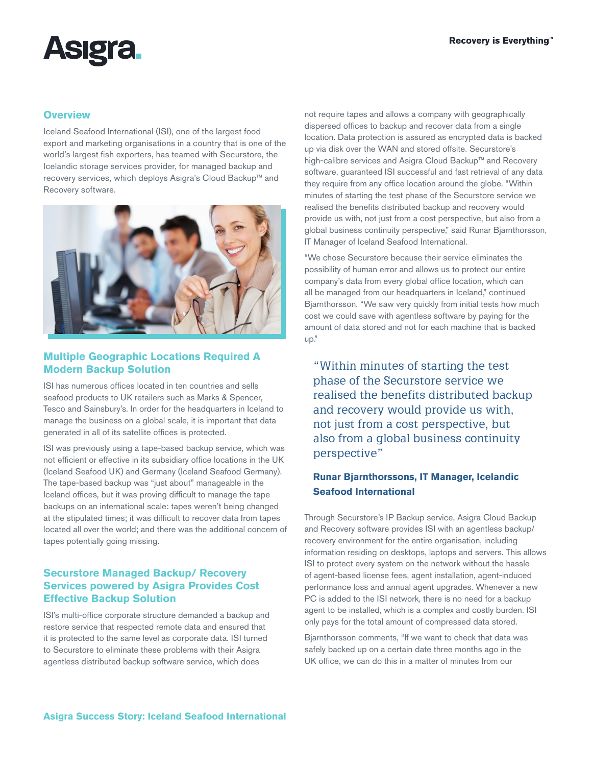# **Asigra**

## **Overview**

Iceland Seafood International (ISI), one of the largest food export and marketing organisations in a country that is one of the world's largest fish exporters, has teamed with Securstore, the Icelandic storage services provider, for managed backup and recovery services, which deploys Asigra's Cloud Backup™ and Recovery software.



## **Multiple Geographic Locations Required A Modern Backup Solution**

ISI has numerous offices located in ten countries and sells seafood products to UK retailers such as Marks & Spencer, Tesco and Sainsbury's. In order for the headquarters in Iceland to manage the business on a global scale, it is important that data generated in all of its satellite offices is protected.

ISI was previously using a tape-based backup service, which was not efficient or effective in its subsidiary office locations in the UK (Iceland Seafood UK) and Germany (Iceland Seafood Germany). The tape-based backup was "just about" manageable in the Iceland offices, but it was proving difficult to manage the tape backups on an international scale: tapes weren't being changed at the stipulated times; it was difficult to recover data from tapes located all over the world; and there was the additional concern of tapes potentially going missing.

## **Securstore Managed Backup/ Recovery Services powered by Asigra Provides Cost Effective Backup Solution**

ISI's multi-office corporate structure demanded a backup and restore service that respected remote data and ensured that it is protected to the same level as corporate data. ISI turned to Securstore to eliminate these problems with their Asigra agentless distributed backup software service, which does

not require tapes and allows a company with geographically dispersed offices to backup and recover data from a single location. Data protection is assured as encrypted data is backed up via disk over the WAN and stored offsite. Securstore's high-calibre services and Asigra Cloud Backup™ and Recovery software, guaranteed ISI successful and fast retrieval of any data they require from any office location around the globe. "Within minutes of starting the test phase of the Securstore service we realised the benefits distributed backup and recovery would provide us with, not just from a cost perspective, but also from a global business continuity perspective," said Runar Bjarnthorsson, IT Manager of Iceland Seafood International.

"We chose Securstore because their service eliminates the possibility of human error and allows us to protect our entire company's data from every global office location, which can all be managed from our headquarters in Iceland," continued Bjarnthorsson. "We saw very quickly from initial tests how much cost we could save with agentless software by paying for the amount of data stored and not for each machine that is backed up."

"Within minutes of starting the test phase of the Securstore service we realised the benefits distributed backup and recovery would provide us with, not just from a cost perspective, but also from a global business continuity perspective"

## **Runar Bjarnthorssons, IT Manager, Icelandic Seafood International**

Through Securstore's IP Backup service, Asigra Cloud Backup and Recovery software provides ISI with an agentless backup/ recovery environment for the entire organisation, including information residing on desktops, laptops and servers. This allows ISI to protect every system on the network without the hassle of agent-based license fees, agent installation, agent-induced performance loss and annual agent upgrades. Whenever a new PC is added to the ISI network, there is no need for a backup agent to be installed, which is a complex and costly burden. ISI only pays for the total amount of compressed data stored.

Bjarnthorsson comments, "If we want to check that data was safely backed up on a certain date three months ago in the UK office, we can do this in a matter of minutes from our